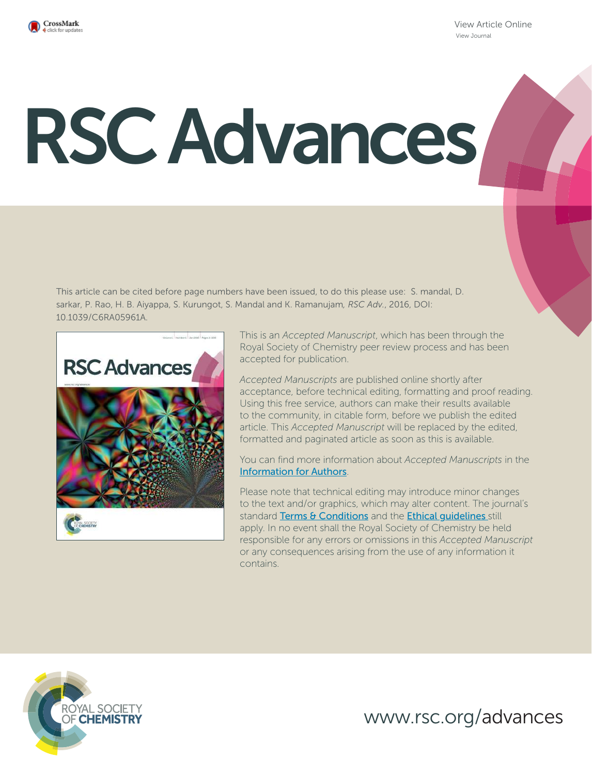

View Article Online View Journal

# RSC Advances

This article can be cited before page numbers have been issued, to do this please use: S. mandal, D. sarkar, P. Rao, H. B. Aiyappa, S. Kurungot, S. Mandal and K. Ramanujam*, RSC Adv.*, 2016, DOI: 10.1039/C6RA05961A.



This is an *Accepted Manuscript*, which has been through the Royal Society of Chemistry peer review process and has been accepted for publication.

*Accepted Manuscripts* are published online shortly after acceptance, before technical editing, formatting and proof reading. Using this free service, authors can make their results available to the community, in citable form, before we publish the edited article. This *Accepted Manuscript* will be replaced by the edited, formatted and paginated article as soon as this is available.

You can find more information about *Accepted Manuscripts* in the Information for Authors.

Please note that technical editing may introduce minor changes to the text and/or graphics, which may alter content. The journal's standard Terms & Conditions and the Ethical quidelines still apply. In no event shall the Royal Society of Chemistry be held responsible for any errors or omissions in this *Accepted Manuscript* or any consequences arising from the use of any information it contains.



www.rsc.org/advances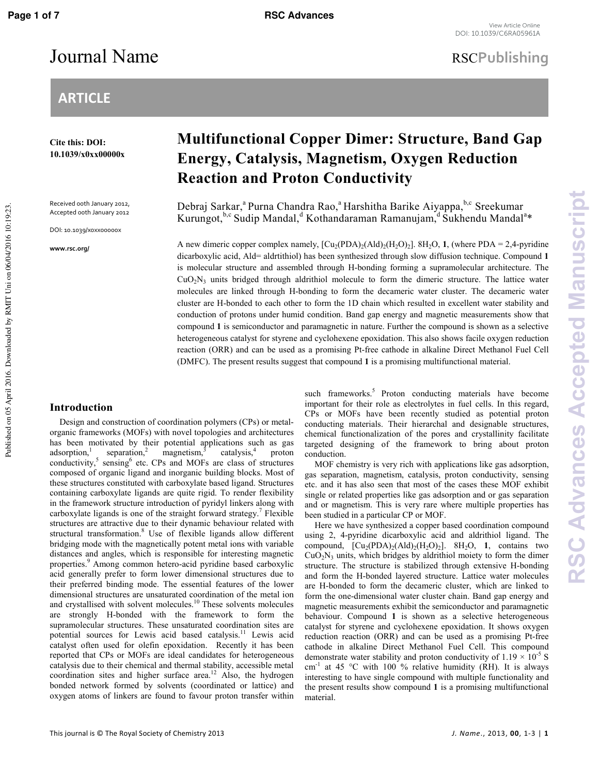# **ARTICLE**

**Cite this: DOI: 10.1039/x0xx00000x** 

Received 00th January 2012, Accepted 00th January 2012

DOI: 10.1039/x0xx00000x

**www.rsc.org/** 

Published on 05 April 2016. Downloaded by RMIT Uni on 06/04/2016 10:19:23.

Published on 05 April 2016. Downloaded by RMIT Uni on 06/04/2016 10:19:23.

# **Multifunctional Copper Dimer: Structure, Band Gap Energy, Catalysis, Magnetism, Oxygen Reduction Reaction and Proton Conductivity**

Debraj Sarkar,<sup>a</sup> Purna Chandra Rao,<sup>a</sup> Harshitha Barike Aiyappa,<sup>b,c</sup> Sreekumar Kurungot, <sup>b,c</sup> Sudip Mandal, <sup>d</sup> Kothandaraman Ramanujam, <sup>d</sup> Sukhendu Mandal<sup>a</sup>\*

A new dimeric copper complex namely,  $[Cu_2(POA)_2(Add)_2(H_2O)_2]$ .  $8H_2O$ , **1**, (where PDA = 2,4-pyridine dicarboxylic acid, Ald= aldrtithiol) has been synthesized through slow diffusion technique. Compound **1** is molecular structure and assembled through H-bonding forming a supramolecular architecture. The  $CuO<sub>2</sub>N<sub>3</sub>$  units bridged through aldrithiol molecule to form the dimeric structure. The lattice water molecules are linked through H-bonding to form the decameric water cluster. The decameric water cluster are H-bonded to each other to form the 1D chain which resulted in excellent water stability and conduction of protons under humid condition. Band gap energy and magnetic measurements show that compound **1** is semiconductor and paramagnetic in nature. Further the compound is shown as a selective heterogeneous catalyst for styrene and cyclohexene epoxidation. This also shows facile oxygen reduction reaction (ORR) and can be used as a promising Pt-free cathode in alkaline Direct Methanol Fuel Cell (DMFC). The present results suggest that compound **1** is a promising multifunctional material.

### **Introduction**

Design and construction of coordination polymers (CPs) or metalorganic frameworks (MOFs) with novel topologies and architectures has been motivated by their potential applications such as gas adsorption, $<sup>1</sup>$ </sup> separation,<sup>2</sup> magnetism,<sup>3</sup> catalysis,<sup>4</sup> proton conductivity,<sup>5</sup> sensing<sup>6</sup> etc. CPs and MOFs are class of structures composed of organic ligand and inorganic building blocks. Most of these structures constituted with carboxylate based ligand. Structures containing carboxylate ligands are quite rigid. To render flexibility in the framework structure introduction of pyridyl linkers along with carboxylate ligands is one of the straight forward strategy.<sup>7</sup> Flexible structures are attractive due to their dynamic behaviour related with structural transformation.<sup>8</sup> Use of flexible ligands allow different bridging mode with the magnetically potent metal ions with variable distances and angles, which is responsible for interesting magnetic properties.<sup>9</sup> Among common hetero-acid pyridine based carboxylic acid generally prefer to form lower dimensional structures due to their preferred binding mode. The essential features of the lower dimensional structures are unsaturated coordination of the metal ion and crystallised with solvent molecules.<sup>10</sup> These solvents molecules are strongly H-bonded with the framework to form the supramolecular structures. These unsaturated coordination sites are potential sources for Lewis acid based catalysis.<sup>11</sup> Lewis acid catalyst often used for olefin epoxidation. Recently it has been reported that CPs or MOFs are ideal candidates for heterogeneous catalysis due to their chemical and thermal stability, accessible metal coordination sites and higher surface area.<sup>12</sup> Also, the hydrogen bonded network formed by solvents (coordinated or lattice) and oxygen atoms of linkers are found to favour proton transfer within

such frameworks.<sup>5</sup> Proton conducting materials have become important for their role as electrolytes in fuel cells. In this regard, CPs or MOFs have been recently studied as potential proton conducting materials. Their hierarchal and designable structures, chemical functionalization of the pores and crystallinity facilitate targeted designing of the framework to bring about proton conduction.

MOF chemistry is very rich with applications like gas adsorption, gas separation, magnetism, catalysis, proton conductivity, sensing etc. and it has also seen that most of the cases these MOF exhibit single or related properties like gas adsorption and or gas separation and or magnetism. This is very rare where multiple properties has been studied in a particular CP or MOF.

Here we have synthesized a copper based coordination compound using 2, 4-pyridine dicarboxylic acid and aldrithiol ligand. The compound,  $[Cu_2(PDA)_2(Ad)_{2}(H_2O)_2]$ . 8H<sub>2</sub>O, 1, contains two  $CuO<sub>2</sub>N<sub>3</sub>$  units, which bridges by aldrithiol moiety to form the dimer structure. The structure is stabilized through extensive H-bonding and form the H-bonded layered structure. Lattice water molecules are H-bonded to form the decameric cluster, which are linked to form the one-dimensional water cluster chain. Band gap energy and magnetic measurements exhibit the semiconductor and paramagnetic behaviour. Compound **1** is shown as a selective heterogeneous catalyst for styrene and cyclohexene epoxidation. It shows oxygen reduction reaction (ORR) and can be used as a promising Pt-free cathode in alkaline Direct Methanol Fuel Cell. This compound demonstrate water stability and proton conductivity of  $1.19 \times 10^{-5}$  S cm<sup>-1</sup> at 45 °C with 100 % relative humidity (RH). It is always interesting to have single compound with multiple functionality and the present results show compound **1** is a promising multifunctional material.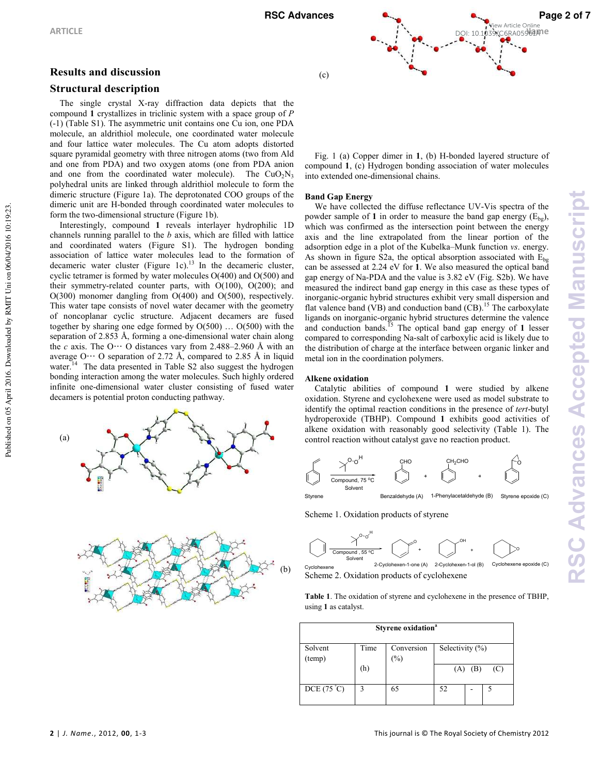### **Results and discussion**

### **Structural description**

The single crystal X-ray diffraction data depicts that the compound **1** crystallizes in triclinic system with a space group of *P*  (01) (Table S1). The asymmetric unit contains one Cu ion, one PDA molecule, an aldrithiol molecule, one coordinated water molecule and four lattice water molecules. The Cu atom adopts distorted square pyramidal geometry with three nitrogen atoms (two from Ald and one from PDA) and two oxygen atoms (one from PDA anion and one from the coordinated water molecule). The  $CuO<sub>2</sub>N<sub>3</sub>$ polyhedral units are linked through aldrithiol molecule to form the dimeric structure (Figure 1a). The deprotonated COO groups of the dimeric unit are H-bonded through coordinated water molecules to form the two-dimensional structure (Figure 1b).

Interestingly, compound **1** reveals interlayer hydrophilic 1D channels running parallel to the *b* axis, which are filled with lattice and coordinated waters (Figure S1). The hydrogen bonding association of lattice water molecules lead to the formation of decameric water cluster (Figure 1c).<sup>13</sup> In the decameric cluster, cyclic tetramer is formed by water molecules O(400) and O(500) and their symmetry-related counter parts, with  $O(100)$ ,  $O(200)$ ; and O(300) monomer dangling from O(400) and O(500), respectively. This water tape consists of novel water decamer with the geometry of noncoplanar cyclic structure. Adjacent decamers are fused together by sharing one edge formed by O(500) … O(500) with the separation of  $2.853$  Å, forming a one-dimensional water chain along the *c* axis. The O $\cdots$  O distances vary from 2.488–2.960 Å with an average O**···** O separation of 2.72 Å, compared to 2.85 Å in liquid water.<sup>14</sup> The data presented in Table S2 also suggest the hydrogen bonding interaction among the water molecules. Such highly ordered infinite one-dimensional water cluster consisting of fused water decamers is potential proton conducting pathway.







Fig. 1 (a) Copper dimer in 1, (b) H-bonded layered structure of compound **1**, (c) Hydrogen bonding association of water molecules into extended one-dimensional chains.

### **Band Gap Energy**

We have collected the diffuse reflectance UV-Vis spectra of the powder sample of 1 in order to measure the band gap energy  $(E_{b\varphi})$ , which was confirmed as the intersection point between the energy axis and the line extrapolated from the linear portion of the adsorption edge in a plot of the Kubelka–Munk function *vs*. energy. As shown in figure S2a, the optical absorption associated with  $E_{ba}$ can be assessed at 2.24 eV for **1**. We also measured the optical band gap energy of Na-PDA and the value is  $3.82$  eV (Fig. S2b). We have measured the indirect band gap energy in this case as these types of inorganic-organic hybrid structures exhibit very small dispersion and flat valence band (VB) and conduction band (CB).<sup>15</sup> The carboxylate ligands on inorganic-organic hybrid structures determine the valence and conduction bands.<sup> $15$ </sup> The optical band gap energy of 1 lesser compared to corresponding Na-salt of carboxylic acid is likely due to the distribution of charge at the interface between organic linker and metal ion in the coordination polymers.

### **Alkene oxidation**

Catalytic abilities of compound **1** were studied by alkene oxidation. Styrene and cyclohexene were used as model substrate to identify the optimal reaction conditions in the presence of *tert*-butyl hydroperoxide (TBHP). Compound **1** exhibits good activities of alkene oxidation with reasonably good selectivity (Table 1). The control reaction without catalyst gave no reaction product.



Styrene Benzaldehyde (A) 1-Phenylacetaldehyde (B) Styrene epoxide (C)

Scheme 1. Oxidation products of styrene

 - # -#



**Table 1**. The oxidation of styrene and cyclohexene in the presence of TBHP, using **1** as catalyst.

| Styrene oxidation <sup>a</sup> |      |            |                     |  |  |
|--------------------------------|------|------------|---------------------|--|--|
| Solvent                        | Time | Conversion | Selectivity $(\% )$ |  |  |
| (temp)                         |      | $(\%)$     |                     |  |  |
|                                | (h)  |            | $(A)$ $(B)$<br>(C)  |  |  |
| DCE $(75^{\circ}C)$            | 3    | 65         | 52                  |  |  |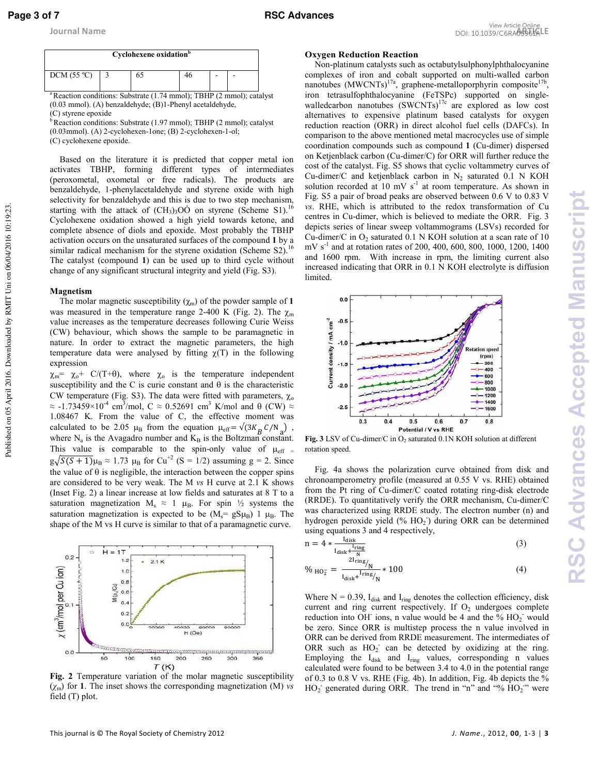

<sup>a</sup>Reaction conditions: Substrate (1.74 mmol); TBHP (2 mmol); catalyst  $(0.03$  mmol).  $(A)$  benzaldehyde;  $(B)$ 1-Phenyl acetaldehyde,

<sup>b</sup>Reaction conditions: Substrate (1.97 mmol); TBHP (2 mmol); catalyst  $(0.03$ mmol).  $(A)$  2-cyclohexen-1one;  $(B)$  2-cyclohexen-1-ol;

(C) cyclohexene epoxide.

Based on the literature it is predicted that copper metal ion activates TBHP, forming different types of intermediates (peroxometal, oxometal or free radicals). The products are benzaldehyde, 1-phenylacetaldehyde and styrene oxide with high selectivity for benzaldehyde and this is due to two step mechanism, starting with the attack of  $(CH_3)_3O\dot{O}$  on styrene (Scheme S1).<sup>16</sup> Cyclohexene oxidation showed a high yield towards ketone, and complete absence of diols and epoxide. Most probably the TBHP activation occurs on the unsaturated surfaces of the compound **1** by a similar radical mechanism for the styrene oxidation (Scheme S2).<sup>16</sup> The catalyst (compound **1**) can be used up to third cycle without change of any significant structural integrity and yield (Fig. S3).

### **Magnetism**

Published on 05 April 2016. Downloaded by RMIT Uni on 06/04/2016 10:19:23.

Published on 05 April 2016. Downloaded by RMIT Uni on 06/04/2016 10:19:23.

The molar magnetic susceptibility  $(\chi_m)$  of the powder sample of 1 was measured in the temperature range 2-400 K (Fig. 2). The  $\chi_{\rm m}$ value increases as the temperature decreases following Curie Weiss (CW) behaviour, which shows the sample to be paramagnetic in nature. In order to extract the magnetic parameters, the high temperature data were analysed by fitting  $\chi(T)$  in the following expression

 $\chi_{\rm m} = \chi_{\rm o} + C/(T+\theta)$ , where  $\chi_{\rm o}$  is the temperature independent susceptibility and the C is curie constant and  $\theta$  is the characteristic CW temperature (Fig. S3). The data were fitted with parameters,  $\chi_0$  $\approx$  -1.73459×10<sup>-4</sup> cm<sup>3</sup>/mol, C  $\approx$  0.52691 cm<sup>3</sup> K/mol and  $\theta$  (CW)  $\approx$ 1.08467 K. From the value of C, the effective moment was calculated to be 2.05  $\mu_B$  from the equation  $\mu_{eff} = \sqrt{(3K_B C/N_A)}$ , where  $N_a$  is the Avagadro number and  $K_B$  is the Boltzman constant. This value is comparable to the spin-only value of  $\mu_{\text{eff}}$  =  $g\sqrt{S(S+1)}\mu_B \approx 1.73 \mu_B$  for Cu<sup>+2</sup> (S = 1/2) assuming g = 2. Since the value of  $\theta$  is negligible, the interaction between the copper spins are considered to be very weak. The M *vs* H curve at 2.1 K shows (Inset Fig. 2) a linear increase at low fields and saturates at 8 T to a saturation magnetization  $M_s \approx 1 \mu_B$ . For spin  $\frac{1}{2}$  systems the saturation magnetization is expected to be  $(M_s = gS\mu_B)$  1  $\mu_B$ . The shape of the M vs H curve is similar to that of a paramagnetic curve.



**Fig. 2** Temperature variation of the molar magnetic susceptibility (*χ*m) for **1**. The inset shows the corresponding magnetization (M) *vs* field (T) plot.

### **Oxygen Reduction Reaction**

Non-platinum catalysts such as octabutylsulphonylphthalocyanine complexes of iron and cobalt supported on multi-walled carbon nanotubes (MWCNTs)<sup>17a</sup>, graphene-metalloporphyrin composite<sup>17</sup> , iron tetrasulfophthalocyanine (FeTSPc) supported on singlewalledcarbon nanotubes  $(SWCNTs)^{17c}$  are explored as low cost alternatives to expensive platinum based catalysts for oxygen reduction reaction (ORR) in direct alcohol fuel cells (DAFCs). In comparison to the above mentioned metal macrocycles use of simple coordination compounds such as compound 1 (Cu-dimer) dispersed on Ketjenblack carbon (Cu-dimer/C) for ORR will further reduce the cost of the catalyst. Fig. S5 shows that cyclic voltammetry curves of Cu-dimer/C and ketjenblack carbon in  $N_2$  saturated 0.1 N KOH solution recorded at 10 mV  $s^{-1}$  at room temperature. As shown in Fig. S5 a pair of broad peaks are observed between 0.6 V to 0.83 V *vs*. RHE, which is attributed to the redox transformation of Cu centres in Cu-dimer, which is believed to mediate the ORR. Fig. 3 depicts series of linear sweep voltammograms (LSVs) recorded for Cu-dimer/C in  $O_2$  saturated 0.1 N KOH solution at a scan rate of 10 mV s<sup>-1</sup> and at rotation rates of 200, 400, 600, 800, 1000, 1200, 1400 and 1600 rpm. With increase in rpm, the limiting current also increased indicating that ORR in 0.1 N KOH electrolyte is diffusion limited.



**Fig. 3** LSV of Cu-dimer/C in  $O_2$  saturated 0.1N KOH solution at different rotation speed.

Fig. 4a shows the polarization curve obtained from disk and chronoamperometry profile (measured at 0.55 V vs. RHE) obtained from the Pt ring of Cu-dimer/C coated rotating ring-disk electrode  $(RRDE)$ . To quantitatively verify the ORR mechanism, Cu-dimer/C was characterized using RRDE study. The electron number (n) and hydrogen peroxide yield (% HO<sub>2</sub>) during ORR can be determined using equations 3 and 4 respectively,

$$
n = 4 * \frac{I_{\text{disk}}}{I_{\text{disk}} + \frac{I_{\text{ring}}}{N}}
$$
(3)

$$
\%_{\text{HO}_2^-} = \frac{2I_{\text{ring}}}{I_{\text{disk}} + I_{\text{ring}}/N} * 100 \tag{4}
$$

Where  $N = 0.39$ ,  $I_{disk}$  and  $I_{ring}$  denotes the collection efficiency, disk current and ring current respectively. If  $O_2$  undergoes complete reduction into OH ions, n value would be 4 and the  $\frac{6}{10}$  HO<sub>2</sub> would be zero. Since ORR is multistep process the n value involved in ORR can be derived from RRDE measurement. The intermediates of ORR such as  $HO_2^-$  can be detected by oxidizing at the ring. Employing the  $I_{disk}$  and  $I_{ring}$  values, corresponding n values calculated were found to be between 3.4 to 4.0 in the potential range of 0.3 to 0.8 V vs. RHE (Fig. 4b). In addition, Fig. 4b depicts the %  $HO_2$  generated during ORR. The trend in "n" and "%  $HO_2$ " were

<sup>(</sup>C) styrene epoxide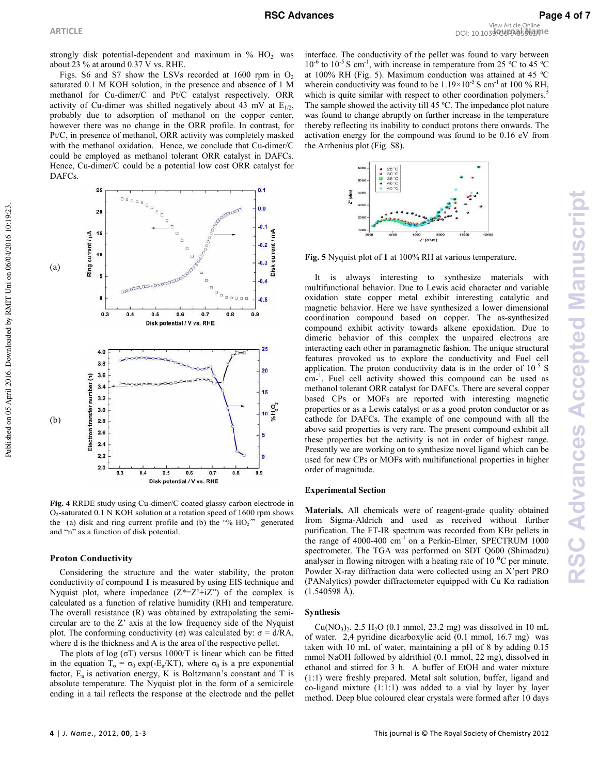strongly disk potential-dependent and maximum in %  $HO_2^-$  was about 23 % at around 0.37 V vs. RHE.

Figs. S6 and S7 show the LSVs recorded at 1600 rpm in  $O<sub>2</sub>$ saturated 0.1 M KOH solution, in the presence and absence of 1 M methanol for Cu-dimer/C and Pt/C catalyst respectively. ORR activity of Cu-dimer was shifted negatively about 43 mV at  $E_{1/2}$ , probably due to adsorption of methanol on the copper center, however there was no change in the ORR profile. In contrast, for Pt/C, in presence of methanol, ORR activity was completely masked with the methanol oxidation. Hence, we conclude that  $Cu$ -dimer/ $C$ could be employed as methanol tolerant ORR catalyst in DAFCs. Hence, Cu-dimer/C could be a potential low cost ORR catalyst for DAFCs.



Fig. 4 RRDE study using Cu-dimer/C coated glassy carbon electrode in  $O<sub>2</sub>$ -saturated 0.1 N KOH solution at a rotation speed of 1600 rpm shows the (a) disk and ring current profile and (b) the "%  $HO<sub>2</sub>$ " generated and "n" as a function of disk potential.

### **Proton Conductivity**

Considering the structure and the water stability, the proton conductivity of compound **1** is measured by using EIS technique and Nyquist plot, where impedance  $(Z^*=Z'+iZ")$  of the complex is calculated as a function of relative humidity (RH) and temperature. The overall resistance  $(R)$  was obtained by extrapolating the semicircular arc to the Z' axis at the low frequency side of the Nyquist plot. The conforming conductivity (σ) was calculated by:  $σ = d/RA$ , where d is the thickness and A is the area of the respective pellet.

The plots of log ( $\sigma$ T) versus 1000/T is linear which can be fitted in the equation  $T_{\sigma} = \sigma_0 \exp(-E_a/KT)$ , where  $\sigma_0$  is a pre exponential factor,  $E_a$  is activation energy, K is Boltzmann's constant and T is absolute temperature. The Nyquist plot in the form of a semicircle ending in a tail reflects the response at the electrode and the pellet

interface. The conductivity of the pellet was found to vary between  $10^{-6}$  to  $10^{-5}$  S cm<sup>-1</sup>, with increase in temperature from 25 °C to 45 °C at 100% RH (Fig. 5). Maximum conduction was attained at 45 ºC wherein conductivity was found to be  $1.19 \times 10^{-5}$  S cm<sup>-1</sup> at 100 % RH, which is quite similar with respect to other coordination polymers.<sup>5</sup> The sample showed the activity till 45 ºC. The impedance plot nature was found to change abruptly on further increase in the temperature thereby reflecting its inability to conduct protons there onwards. The activation energy for the compound was found to be 0.16 eV from the Arrhenius plot (Fig. S8).



**Fig. 5** Nyquist plot of **1** at 100% RH at various temperature.

It is always interesting to synthesize materials with multifunctional behavior. Due to Lewis acid character and variable oxidation state copper metal exhibit interesting catalytic and magnetic behavior. Here we have synthesized a lower dimensional coordination compound based on copper. The as-synthesized compound exhibit activity towards alkene epoxidation. Due to dimeric behavior of this complex the unpaired electrons are interacting each other in paramagnetic fashion. The unique structural features provoked us to explore the conductivity and Fuel cell application. The proton conductivity data is in the order of  $10<sup>5</sup>$  S  $cm<sup>-1</sup>$ . Fuel cell activity showed this compound can be used as methanol tolerant ORR catalyst for DAFCs. There are several copper based CPs or MOFs are reported with interesting magnetic properties or as a Lewis catalyst or as a good proton conductor or as cathode for DAFCs. The example of one compound with all the above said properties is very rare. The present compound exhibit all these properties but the activity is not in order of highest range. Presently we are working on to synthesize novel ligand which can be used for new CPs or MOFs with multifunctional properties in higher order of magnitude.

### **Experimental Section**

**Materials.** All chemicals were of reagent-grade quality obtained from Sigma-Aldrich and used as received without further purification. The FT-IR spectrum was recorded from KBr pellets in the range of  $4000-400$  cm<sup>-1</sup> on a Perkin-Elmer, SPECTRUM 1000 spectrometer. The TGA was performed on SDT Q600 (Shimadzu) analyser in flowing nitrogen with a heating rate of  $10^{9}$ C per minute. Powder X-ray diffraction data were collected using an X'pert PRO (PANalytics) powder diffractometer equipped with Cu Kα radiation  $(1.540598 \text{ Å})$ .

### **Synthesis**

 $Cu(NO<sub>3</sub>)<sub>2</sub>$ . 2.5 H<sub>2</sub>O (0.1 mmol, 23.2 mg) was dissolved in 10 mL of water. 2,4 pyridine dicarboxylic acid (0.1 mmol, 16.7 mg) was taken with 10 mL of water, maintaining a pH of 8 by adding 0.15 mmol NaOH followed by aldrithiol (0.1 mmol, 22 mg), dissolved in ethanol and stirred for 3 h. A buffer of EtOH and water mixture (1:1) were freshly prepared. Metal salt solution, buffer, ligand and co-ligand mixture  $(1:1:1)$  was added to a vial by layer by layer method. Deep blue coloured clear crystals were formed after 10 days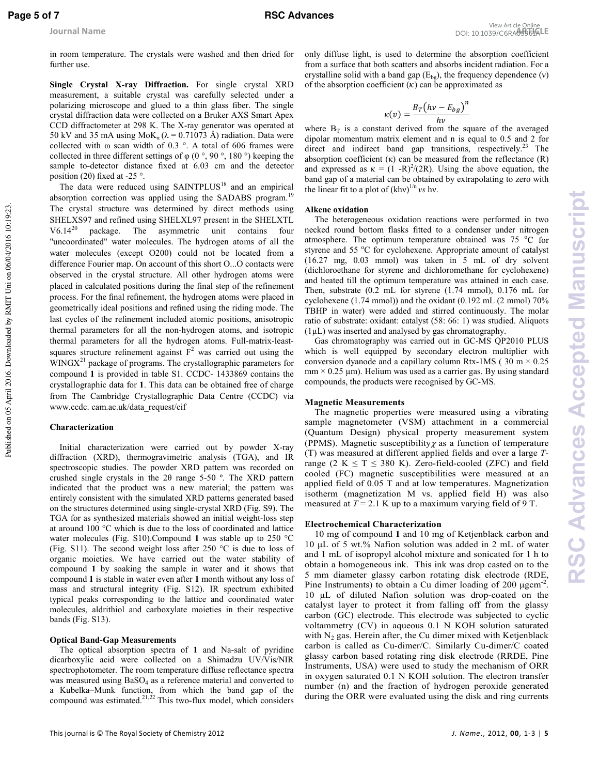Published on 05 April 2016. Downloaded by RMIT Uni on 06/04/2016 10:19:23.

Published on 05 April 2016. Downloaded by RMIT Uni on 06/04/2016 10:19:23.

in room temperature. The crystals were washed and then dried for further use.

**Single Crystal X-ray Diffraction.** For single crystal XRD measurement, a suitable crystal was carefully selected under a polarizing microscope and glued to a thin glass fiber. The single crystal diffraction data were collected on a Bruker AXS Smart Apex CCD diffractometer at 298 K. The X-ray generator was operated at 50 kV and 35 mA using  $MoK_a$  ( $\lambda$  = 0.71073 Å) radiation. Data were collected with ω scan width of 0.3 °. A total of 606 frames were collected in three different settings of  $\varphi$  (0 °, 90 °, 180 °) keeping the sample to-detector distance fixed at 6.03 cm and the detector position (2 $\theta$ ) fixed at -25 °.

The data were reduced using SAINTPLUS<sup>18</sup> and an empirical absorption correction was applied using the SADABS program.<sup>19</sup> The crystal structure was determined by direct methods using SHELXS97 and refined using SHELXL97 present in the SHELXTL V6.14<sup>20</sup> package. The asymmetric unit contains four "uncoordinated" water molecules. The hydrogen atoms of all the water molecules (except O200) could not be located from a difference Fourier map. On account of this short O...O contacts were observed in the crystal structure. All other hydrogen atoms were placed in calculated positions during the final step of the refinement process. For the final refinement, the hydrogen atoms were placed in geometrically ideal positions and refined using the riding mode. The last cycles of the refinement included atomic positions, anisotropic thermal parameters for all the non-hydrogen atoms, and isotropic thermal parameters for all the hydrogen atoms. Full-matrix-leastsquares structure refinement against  $F^2$  was carried out using the  $WINGX<sup>21</sup>$  package of programs. The crystallographic parameters for compound 1 is provided in table S1. CCDC-1433869 contains the crystallographic data for **1**. This data can be obtained free of charge from The Cambridge Crystallographic Data Centre (CCDC) via www.ccdc. cam.ac.uk/data\_request/cif

### **Characterization**

Initial characterization were carried out by powder X-ray diffraction (XRD), thermogravimetric analysis (TGA), and IR spectroscopic studies. The powder XRD pattern was recorded on crushed single crystals in the  $2\theta$  range 5-50 °. The XRD pattern indicated that the product was a new material; the pattern was entirely consistent with the simulated XRD patterns generated based on the structures determined using single-crystal XRD (Fig. S9). The TGA for as synthesized materials showed an initial weight-loss step at around 100 °C which is due to the loss of coordinated and lattice water molecules (Fig. S10).Compound **1** was stable up to 250 °C (Fig. S11). The second weight loss after 250  $^{\circ}$ C is due to loss of organic moieties. We have carried out the water stability of compound **1** by soaking the sample in water and it shows that compound **1** is stable in water even after **1** month without any loss of mass and structural integrity (Fig. S12). IR spectrum exhibited typical peaks corresponding to the lattice and coordinated water molecules, aldrithiol and carboxylate moieties in their respective bands (Fig. S13).

### **Optical Band-Gap Measurements**

The optical absorption spectra of 1 and Na-salt of pyridine dicarboxylic acid were collected on a Shimadzu UV/Vis/NIR spectrophotometer. The room temperature diffuse reflectance spectra was measured using  $BaSO<sub>4</sub>$  as a reference material and converted to a Kubelka–Munk function, from which the band gap of the compound was estimated. $2^{1,22}$  This two-flux model, which considers only diffuse light, is used to determine the absorption coefficient from a surface that both scatters and absorbs incident radiation. For a crystalline solid with a band gap  $(E_{bg})$ , the frequency dependence (v) of the absorption coefficient  $(\kappa)$  can be approximated as

$$
\kappa(v) = \frac{B_T \left(hv - E_{bg}\right)^n}{hv}
$$

where  $B_T$  is a constant derived from the square of the averaged dipolar momentum matrix element and n is equal to 0.5 and 2 for direct and indirect band gap transitions, respectively.<sup>23</sup> The absorption coefficient  $(\kappa)$  can be measured from the reflectance  $(R)$ and expressed as  $\kappa = (1 - R)^2 / (2R)$ . Using the above equation, the band gap of a material can be obtained by extrapolating to zero with the linear fit to a plot of  $(khv)^{1/n}$  *vs* hv.

### **Alkene oxidation**

The heterogeneous oxidation reactions were performed in two necked round bottom flasks fitted to a condenser under nitrogen atmosphere. The optimum temperature obtained was  $75\text{ °C}$  for styrene and 55 °C for cyclohexene. Appropriate amount of catalyst (16.27 mg, 0.03 mmol) was taken in 5 mL of dry solvent (dichloroethane for styrene and dichloromethane for cyclohexene) and heated till the optimum temperature was attained in each case. Then, substrate (0.2 mL for styrene (1.74 mmol), 0.176 mL for cyclohexene (1.74 mmol)) and the oxidant (0.192 mL (2 mmol) 70% TBHP in water) were added and stirred continuously. The molar ratio of substrate: oxidant: catalyst (58: 66: 1) was studied. Aliquots (1µL) was inserted and analysed by gas chromatography.

Gas chromatography was carried out in GC-MS QP2010 PLUS which is well equipped by secondary electron multiplier with conversion dyanode and a capillary column Rtx-1MS ( $30 \text{ m} \times 0.25$ )  $mm \times 0.25 \mu m$ ). Helium was used as a carrier gas. By using standard compounds, the products were recognised by GC-MS.

### **Magnetic Measurements**

The magnetic properties were measured using a vibrating sample magnetometer (VSM) attachment in a commercial (Quantum Design) physical property measurement system (PPMS). Magnetic susceptibility  $\chi$  as a function of temperature (T) was measured at different applied fields and over a large *T*range (2 K  $\leq$  T  $\leq$  380 K). Zero-field-cooled (ZFC) and field cooled (FC) magnetic susceptibilities were measured at an applied field of 0.05 T and at low temperatures. Magnetization isotherm (magnetization M vs. applied field H) was also measured at  $T = 2.1$  K up to a maximum varying field of 9 T.

### **Electrochemical Characterization**

10 mg of compound **1** and 10 mg of Ketjenblack carbon and 10 gL of 5 wt.% Nafion solution was added in 2 mL of water and 1 mL of isopropyl alcohol mixture and sonicated for 1 h to obtain a homogeneous ink. This ink was drop casted on to the 5 mm diameter glassy carbon rotating disk electrode (RDE, Pine Instruments) to obtain a Cu dimer loading of  $200 \mu g \text{cm}^{-2}$ .  $10 \mu L$  of diluted Nafion solution was drop-coated on the catalyst layer to protect it from falling off from the glassy carbon (GC) electrode. This electrode was subjected to cyclic voltammetry (CV) in aqueous 0.1 N KOH solution saturated with  $N_2$  gas. Herein after, the Cu dimer mixed with Ketjenblack carbon is called as Cu-dimer/C. Similarly Cu-dimer/C coated glassy carbon based rotating ring disk electrode (RRDE, Pine Instruments, USA) were used to study the mechanism of ORR in oxygen saturated 0.1 N KOH solution. The electron transfer number (n) and the fraction of hydrogen peroxide generated during the ORR were evaluated using the disk and ring currents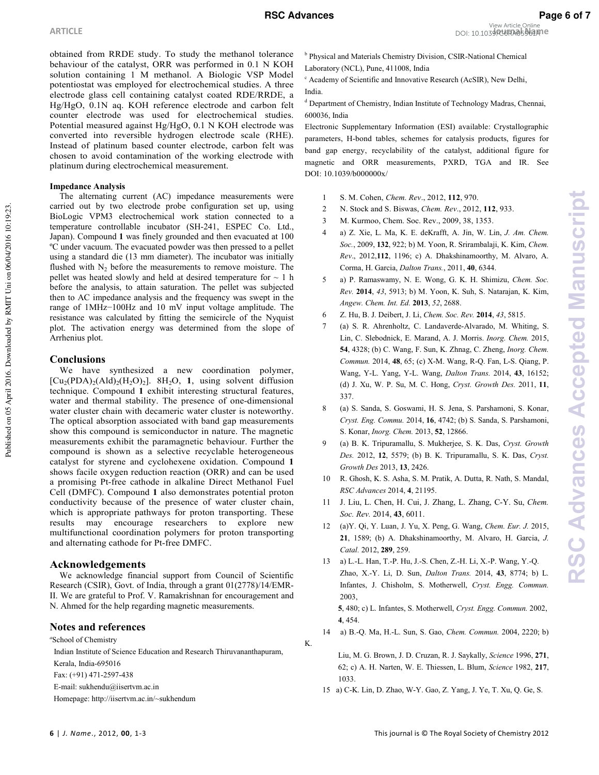obtained from RRDE study. To study the methanol tolerance behaviour of the catalyst, ORR was performed in 0.1 N KOH solution containing 1 M methanol. A Biologic VSP Model potentiostat was employed for electrochemical studies. A three electrode glass cell containing catalyst coated RDE/RRDE, a Hg/HgO, 0.1N aq. KOH reference electrode and carbon felt counter electrode was used for electrochemical studies. Potential measured against Hg/HgO, 0.1 N KOH electrode was converted into reversible hydrogen electrode scale (RHE). Instead of platinum based counter electrode, carbon felt was chosen to avoid contamination of the working electrode with platinum during electrochemical measurement.

### **Impedance Analysis**

The alternating current (AC) impedance measurements were carried out by two electrode probe configuration set up, using BioLogic VPM3 electrochemical work station connected to a temperature controllable incubator (SH-241, ESPEC Co. Ltd., Japan). Compound **1** was finely grounded and then evacuated at 100 ºC under vacuum. The evacuated powder was then pressed to a pellet using a standard die (13 mm diameter). The incubator was initially flushed with  $N_2$  before the measurements to remove moisture. The pellet was heated slowly and held at desired temperature for  $\sim 1$  h before the analysis, to attain saturation. The pellet was subjected then to AC impedance analysis and the frequency was swept in the range of 1MHz−100Hz and 10 mV input voltage amplitude. The resistance was calculated by fitting the semicircle of the Nyquist plot. The activation energy was determined from the slope of Arrhenius plot.

### **Conclusions**

Published on 05 April 2016. Downloaded by RMIT Uni on 06/04/2016 10:19:23.

Published on 05 April 2016. Downloaded by RMIT Uni on 06/04/2016 10:19:23.

We have synthesized a new coordination polymer,  $[Cu<sub>2</sub>(PDA)<sub>2</sub>(AId)<sub>2</sub>(H<sub>2</sub>O)<sub>2</sub>].$  8H<sub>2</sub>O, 1, using solvent diffusion technique. Compound **1** exhibit interesting structural features, water and thermal stability. The presence of one-dimensional water cluster chain with decameric water cluster is noteworthy. The optical absorption associated with band gap measurements show this compound is semiconductor in nature. The magnetic measurements exhibit the paramagnetic behaviour. Further the compound is shown as a selective recyclable heterogeneous catalyst for styrene and cyclohexene oxidation. Compound **1** shows facile oxygen reduction reaction (ORR) and can be used a promising Pt-free cathode in alkaline Direct Methanol Fuel Cell (DMFC). Compound **1** also demonstrates potential proton conductivity because of the presence of water cluster chain, which is appropriate pathways for proton transporting. These results may encourage researchers to explore new multifunctional coordination polymers for proton transporting and alternating cathode for Pt-free DMFC.

### **Acknowledgements**

We acknowledge financial support from Council of Scientific Research (CSIR), Govt. of India, through a grant 01(2778)/14/EMR-II. We are grateful to Prof. V. Ramakrishnan for encouragement and N. Ahmed for the help regarding magnetic measurements.

## **Notes and references**

*a* School of Chemistry

 Indian Institute of Science Education and Research Thiruvananthapuram, Kerala, India-695016 Fax: (+91) 471-2597-438 E-mail: sukhendu@iisertvm.ac.in Homepage: http://iisertvm.ac.in/~sukhendum

<sup>b</sup> Physical and Materials Chemistry Division, CSIR-National Chemical

Laboratory (NCL), Pune, 411008, India

<sup>c</sup> Academy of Scientific and Innovative Research (AcSIR), New Delhi, India.

<sup>d</sup> Department of Chemistry, Indian Institute of Technology Madras, Chennai, 600036, India

Electronic Supplementary Information (ESI) available: Crystallographic parameters, H-bond tables, schemes for catalysis products, figures for band gap energy, recyclability of the catalyst, additional figure for magnetic and ORR measurements, PXRD, TGA and IR. See DOI: 10.1039/b0000000x/

- 1 S. M. Cohen, *Chem. Rev*., 2012, **112**, 970.
- 2 N. Stock and S. Biswas, *Chem. Rev*., 2012, **112**, 933.
- 3 M. Kurmoo, Chem. Soc. Rev., 2009, 38, 1353.
- 4 a) Z. Xie, L. Ma, K. E. deKrafft, A. Jin, W. Lin, *J. Am. Chem. Soc.*, 2009, **132**, 922; b) M. Yoon, R. Srirambalaji, K. Kim, *Chem. Rev*., 2012,**112**, 1196; c) A. Dhakshinamoorthy, M. Alvaro, A. Corma, H. Garcia, *Dalton Trans.*, 2011, **40**, 6344.
- 5 a) P. Ramaswamy, N. E. Wong, G. K. H. Shimizu, *Chem. Soc. Rev.* **2014**, *43*, 5913; b) M. Yoon, K. Suh, S. Natarajan, K. Kim, *Angew. Chem. Int. Ed.* **2013**, *52*, 2688.
- 6 Z. Hu, B. J. Deibert, J. Li, *Chem. Soc. Rev.* **2014**, *43*, 5815.
- 7 (a) S. R. Ahrenholtz, C. Landaverde-Alvarado, M. Whiting, S. Lin, C. Slebodnick, E. Marand, A. J. Morris. *Inorg. Chem.* 2015, **54**, 4328; (b) C. Wang, F. Sun, K. Zhnag, C. Zheng, *Inorg. Chem. Commun.* 2014, 48, 65; (c) X-M. Wang, R-Q. Fan, L-S. Qiang, P. Wang, Y-L. Yang, Y-L. Wang, *Dalton Trans.* 2014, 43, 16152; (d) J. Xu, W. P. Su, M. C. Hong, *Cryst. Growth Des.* 2011, **11**, 337.
- 8 (a) S. Sanda, S. Goswami, H. S. Jena, S. Parshamoni, S. Konar, *Cryst. Eng. Commu.* 2014, **16**, 4742; (b) S. Sanda, S. Parshamoni, S. Konar, *Inorg. Chem.* 2013, **52**, 12866.
- 9 (a) B. K. Tripuramallu, S. Mukherjee, S. K. Das, *Cryst. Growth Des.* 2012, **12**, 5579; (b) B. K. Tripuramallu, S. K. Das, *Cryst. Growth Des* 2013, **13**, 2426.
- 10 R. Ghosh, K. S. Asha, S. M. Pratik, A. Dutta, R. Nath, S. Mandal, *RSC Advances* 2014, **4**, 21195.
- 11 J. Liu, L. Chen, H. Cui, J. Zhang, L. Zhang, C-Y. Su, *Chem. Soc. Rev.* 2014, **43**, 6011.
- 12 (a)Y. Qi, Y. Luan, J. Yu, X. Peng, G. Wang, *Chem. Eur. J.* 2015, **21**, 1589; (b) A. Dhakshinamoorthy, M. Alvaro, H. Garcia, *J. Catal.* 2012, **289**, 259.
- 13 a) L.-L. Han, T.-P. Hu, J.-S. Chen, Z.-H. Li, X.-P. Wang, Y.-Q. Zhao, X.0Y. Li, D. Sun, *Dalton Trans.* 2014, **43**, 8774; b) L. Infantes, J. Chisholm, S. Motherwell, *Cryst. Engg. Commun.*  2003,

 **5**, 480; c) L. Infantes, S. Motherwell, *Cryst. Engg. Commun.* 2002, **4**, 454.

14 a) B.0Q. Ma, H.0L. Sun, S. Gao, *Chem. Commun.* 2004, 2220; b)

Liu, M. G. Brown, J. D. Cruzan, R. J. Saykally, *Science* 1996, **271**, 62; c) A. H. Narten, W. E. Thiessen, L. Blum, *Science* 1982, **217**, 1033.

15 a) C-K. Lin, D. Zhao, W-Y. Gao, Z. Yang, J. Ye, T. Xu, Q. Ge, S.

K.